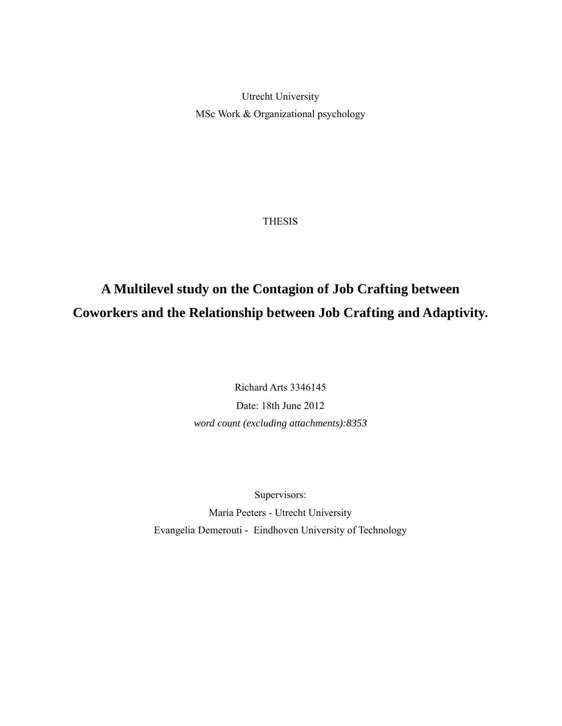Utrecht University MSc Work & Organizational psychology

THESIS

# **A Multilevel study on the Contagion of Job Crafting between Coworkers and the Relationship between Job Crafting and Adaptivity.**

Richard Arts 3346145 Date: 18th June 2012 *word count (excluding attachments):8353*

Supervisors:

Maria Peeters - Utrecht University Evangelia Demerouti - Eindhoven University of Technology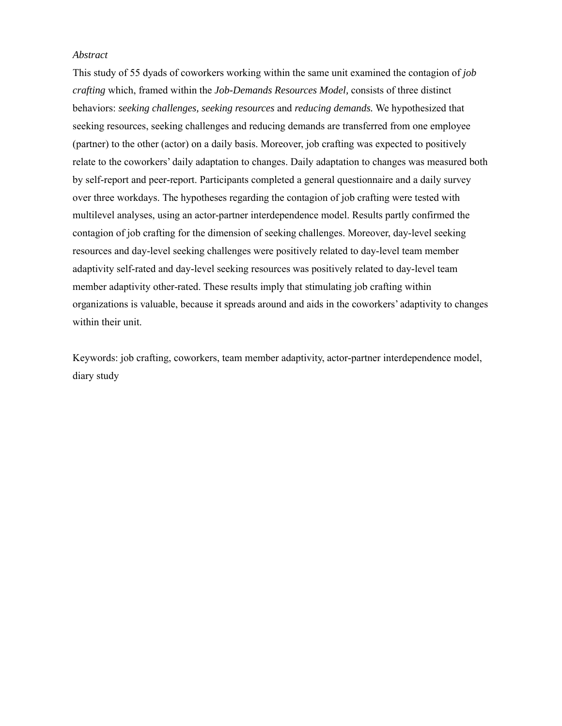## *Abstract*

This study of 55 dyads of coworkers working within the same unit examined the contagion of *job crafting* which, framed within the *Job-Demands Resources Model,* consists of three distinct behaviors: *seeking challenges, seeking resources* and *reducing demands.* We hypothesized that seeking resources, seeking challenges and reducing demands are transferred from one employee (partner) to the other (actor) on a daily basis. Moreover, job crafting was expected to positively relate to the coworkers' daily adaptation to changes. Daily adaptation to changes was measured both by self-report and peer-report. Participants completed a general questionnaire and a daily survey over three workdays. The hypotheses regarding the contagion of job crafting were tested with multilevel analyses, using an actor-partner interdependence model. Results partly confirmed the contagion of job crafting for the dimension of seeking challenges. Moreover, day-level seeking resources and day-level seeking challenges were positively related to day-level team member adaptivity self-rated and day-level seeking resources was positively related to day-level team member adaptivity other-rated. These results imply that stimulating job crafting within organizations is valuable, because it spreads around and aids in the coworkers' adaptivity to changes within their unit.

Keywords: job crafting, coworkers, team member adaptivity, actor-partner interdependence model, diary study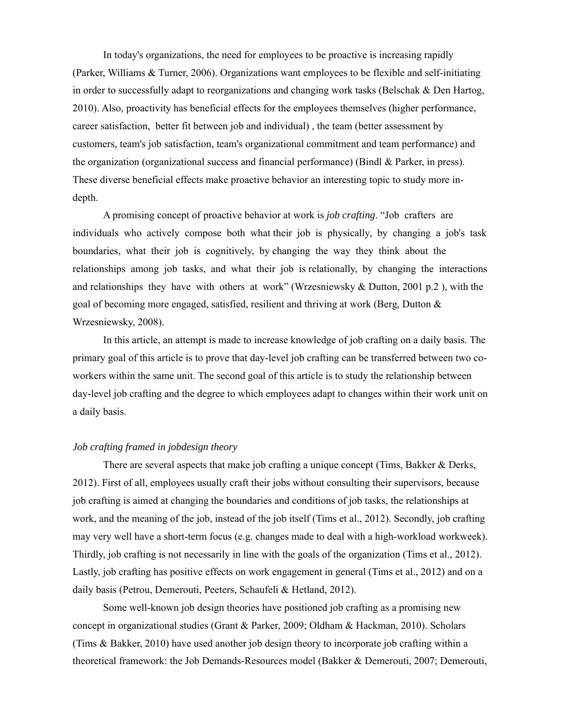In today's organizations, the need for employees to be proactive is increasing rapidly (Parker, Williams & Turner, 2006). Organizations want employees to be flexible and self-initiating in order to successfully adapt to reorganizations and changing work tasks (Belschak & Den Hartog, 2010). Also, proactivity has beneficial effects for the employees themselves (higher performance, career satisfaction, better fit between job and individual) , the team (better assessment by customers, team's job satisfaction, team's organizational commitment and team performance) and the organization (organizational success and financial performance) (Bindl & Parker, in press). These diverse beneficial effects make proactive behavior an interesting topic to study more indepth.

A promising concept of proactive behavior at work is *job crafting*. "Job crafters are individuals who actively compose both what their job is physically, by changing a job's task boundaries, what their job is cognitively, by changing the way they think about the relationships among job tasks, and what their job is relationally, by changing the interactions and relationships they have with others at work" (Wrzesniewsky & Dutton, 2001 p.2 ), with the goal of becoming more engaged, satisfied, resilient and thriving at work (Berg, Dutton  $\&$ Wrzesniewsky, 2008).

In this article, an attempt is made to increase knowledge of job crafting on a daily basis. The primary goal of this article is to prove that day-level job crafting can be transferred between two coworkers within the same unit. The second goal of this article is to study the relationship between day-level job crafting and the degree to which employees adapt to changes within their work unit on a daily basis.

#### *Job crafting framed in jobdesign theory*

There are several aspects that make job crafting a unique concept (Tims, Bakker & Derks, 2012). First of all, employees usually craft their jobs without consulting their supervisors, because job crafting is aimed at changing the boundaries and conditions of job tasks, the relationships at work, and the meaning of the job, instead of the job itself (Tims et al., 2012). Secondly, job crafting may very well have a short-term focus (e.g. changes made to deal with a high-workload workweek). Thirdly, job crafting is not necessarily in line with the goals of the organization (Tims et al., 2012). Lastly, job crafting has positive effects on work engagement in general (Tims et al., 2012) and on a daily basis (Petrou, Demerouti, Peeters, Schaufeli & Hetland, 2012).

Some well-known job design theories have positioned job crafting as a promising new concept in organizational studies (Grant & Parker, 2009; Oldham & Hackman, 2010). Scholars (Tims & Bakker, 2010) have used another job design theory to incorporate job crafting within a theoretical framework: the Job Demands-Resources model (Bakker & Demerouti, 2007; Demerouti,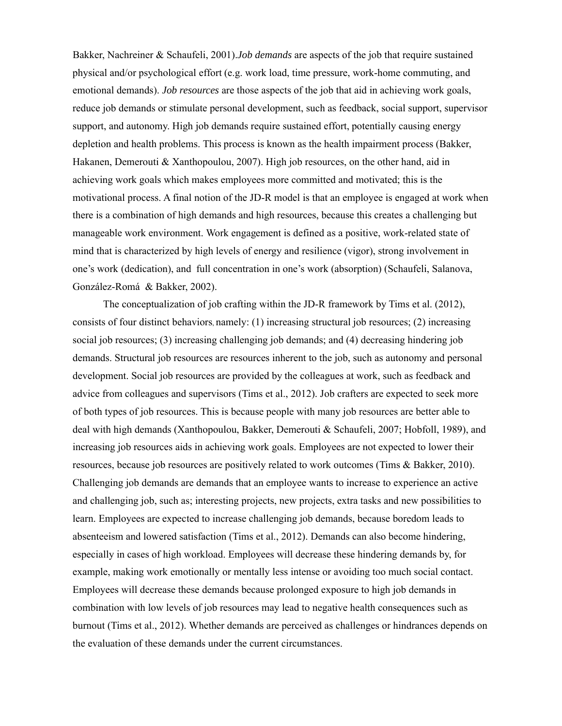Bakker, Nachreiner & Schaufeli, 2001).*Job demands* are aspects of the job that require sustained physical and/or psychological effort (e.g. work load, time pressure, work-home commuting, and emotional demands). *Job resources* are those aspects of the job that aid in achieving work goals, reduce job demands or stimulate personal development, such as feedback, social support, supervisor support, and autonomy. High job demands require sustained effort, potentially causing energy depletion and health problems. This process is known as the health impairment process (Bakker, Hakanen, Demerouti & Xanthopoulou, 2007). High job resources, on the other hand, aid in achieving work goals which makes employees more committed and motivated; this is the motivational process. A final notion of the JD-R model is that an employee is engaged at work when there is a combination of high demands and high resources, because this creates a challenging but manageable work environment. Work engagement is defined as a positive, work-related state of mind that is characterized by high levels of energy and resilience (vigor), strong involvement in one's work (dedication), and full concentration in one's work (absorption) (Schaufeli, Salanova, González-Romá & Bakker, 2002).

The conceptualization of job crafting within the JD-R framework by Tims et al. (2012), consists of four distinct behaviors, namely: (1) increasing structural job resources; (2) increasing social job resources; (3) increasing challenging job demands; and (4) decreasing hindering job demands. Structural job resources are resources inherent to the job, such as autonomy and personal development. Social job resources are provided by the colleagues at work, such as feedback and advice from colleagues and supervisors (Tims et al., 2012). Job crafters are expected to seek more of both types of job resources. This is because people with many job resources are better able to deal with high demands (Xanthopoulou, Bakker, Demerouti & Schaufeli, 2007; Hobfoll, 1989), and increasing job resources aids in achieving work goals. Employees are not expected to lower their resources, because job resources are positively related to work outcomes (Tims & Bakker, 2010). Challenging job demands are demands that an employee wants to increase to experience an active and challenging job, such as; interesting projects, new projects, extra tasks and new possibilities to learn. Employees are expected to increase challenging job demands, because boredom leads to absenteeism and lowered satisfaction (Tims et al., 2012). Demands can also become hindering, especially in cases of high workload. Employees will decrease these hindering demands by, for example, making work emotionally or mentally less intense or avoiding too much social contact. Employees will decrease these demands because prolonged exposure to high job demands in combination with low levels of job resources may lead to negative health consequences such as burnout (Tims et al., 2012). Whether demands are perceived as challenges or hindrances depends on the evaluation of these demands under the current circumstances.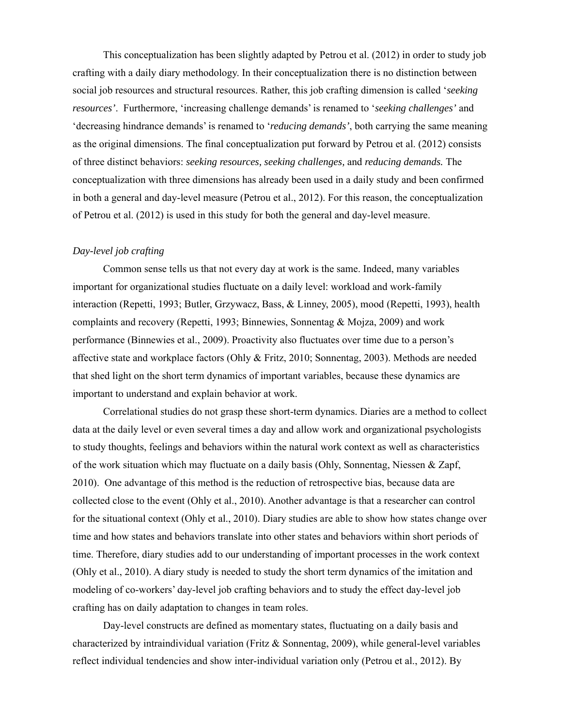This conceptualization has been slightly adapted by Petrou et al. (2012) in order to study job crafting with a daily diary methodology. In their conceptualization there is no distinction between social job resources and structural resources. Rather, this job crafting dimension is called '*seeking resources'*. Furthermore, 'increasing challenge demands' is renamed to '*seeking challenges'* and 'decreasing hindrance demands' is renamed to '*reducing demands'*, both carrying the same meaning as the original dimensions. The final conceptualization put forward by Petrou et al. (2012) consists of three distinct behaviors: *seeking resources, seeking challenges,* and *reducing demands.* The conceptualization with three dimensions has already been used in a daily study and been confirmed in both a general and day-level measure (Petrou et al., 2012). For this reason, the conceptualization of Petrou et al. (2012) is used in this study for both the general and day-level measure.

## *Day-level job crafting*

Common sense tells us that not every day at work is the same. Indeed, many variables important for organizational studies fluctuate on a daily level: workload and work-family interaction (Repetti, 1993; Butler, Grzywacz, Bass, & Linney, 2005), mood (Repetti, 1993), health complaints and recovery (Repetti, 1993; Binnewies, Sonnentag & Mojza, 2009) and work performance (Binnewies et al., 2009). Proactivity also fluctuates over time due to a person's affective state and workplace factors (Ohly & Fritz, 2010; Sonnentag, 2003). Methods are needed that shed light on the short term dynamics of important variables, because these dynamics are important to understand and explain behavior at work.

Correlational studies do not grasp these short-term dynamics. Diaries are a method to collect data at the daily level or even several times a day and allow work and organizational psychologists to study thoughts, feelings and behaviors within the natural work context as well as characteristics of the work situation which may fluctuate on a daily basis (Ohly, Sonnentag, Niessen & Zapf, 2010). One advantage of this method is the reduction of retrospective bias, because data are collected close to the event (Ohly et al., 2010). Another advantage is that a researcher can control for the situational context (Ohly et al., 2010). Diary studies are able to show how states change over time and how states and behaviors translate into other states and behaviors within short periods of time. Therefore, diary studies add to our understanding of important processes in the work context (Ohly et al., 2010). A diary study is needed to study the short term dynamics of the imitation and modeling of co-workers' day-level job crafting behaviors and to study the effect day-level job crafting has on daily adaptation to changes in team roles.

Day-level constructs are defined as momentary states, fluctuating on a daily basis and characterized by intraindividual variation (Fritz & Sonnentag, 2009), while general-level variables reflect individual tendencies and show inter-individual variation only (Petrou et al., 2012). By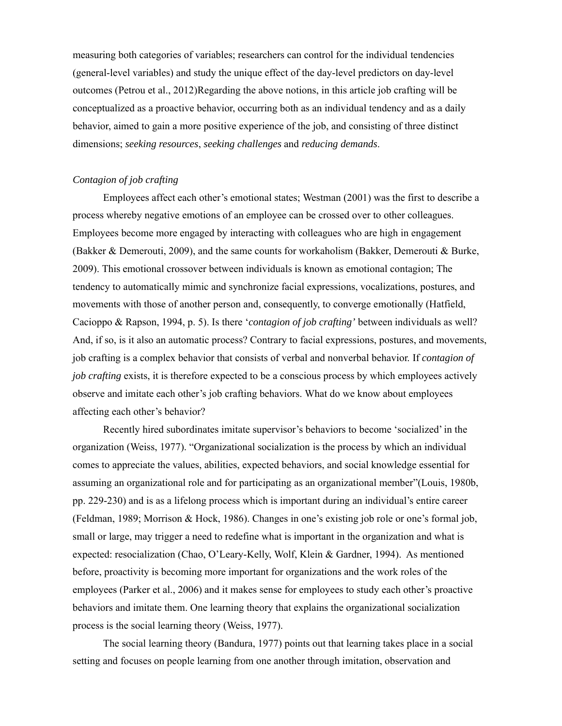measuring both categories of variables; researchers can control for the individual tendencies (general-level variables) and study the unique effect of the day-level predictors on day-level outcomes (Petrou et al., 2012)Regarding the above notions, in this article job crafting will be conceptualized as a proactive behavior, occurring both as an individual tendency and as a daily behavior, aimed to gain a more positive experience of the job, and consisting of three distinct dimensions; *seeking resources*, *seeking challenges* and *reducing demands*.

## *Contagion of job crafting*

Employees affect each other's emotional states; Westman (2001) was the first to describe a process whereby negative emotions of an employee can be crossed over to other colleagues. Employees become more engaged by interacting with colleagues who are high in engagement (Bakker & Demerouti, 2009), and the same counts for workaholism (Bakker, Demerouti & Burke, 2009). This emotional crossover between individuals is known as emotional contagion; The tendency to automatically mimic and synchronize facial expressions, vocalizations, postures, and movements with those of another person and, consequently, to converge emotionally (Hatfield, Cacioppo & Rapson, 1994, p. 5). Is there '*contagion of job crafting'* between individuals as well? And, if so, is it also an automatic process? Contrary to facial expressions, postures, and movements, job crafting is a complex behavior that consists of verbal and nonverbal behavior. If *contagion of job crafting* exists, it is therefore expected to be a conscious process by which employees actively observe and imitate each other's job crafting behaviors. What do we know about employees affecting each other's behavior?

Recently hired subordinates imitate supervisor's behaviors to become 'socialized' in the organization (Weiss, 1977). "Organizational socialization is the process by which an individual comes to appreciate the values, abilities, expected behaviors, and social knowledge essential for assuming an organizational role and for participating as an organizational member"(Louis, 1980b, pp. 229-230) and is as a lifelong process which is important during an individual's entire career (Feldman, 1989; Morrison & Hock, 1986). Changes in one's existing job role or one's formal job, small or large, may trigger a need to redefine what is important in the organization and what is expected: resocialization (Chao, O'Leary-Kelly, Wolf, Klein & Gardner, 1994). As mentioned before, proactivity is becoming more important for organizations and the work roles of the employees (Parker et al., 2006) and it makes sense for employees to study each other's proactive behaviors and imitate them. One learning theory that explains the organizational socialization process is the social learning theory (Weiss, 1977).

The social learning theory (Bandura, 1977) points out that learning takes place in a social setting and focuses on people learning from one another through imitation, observation and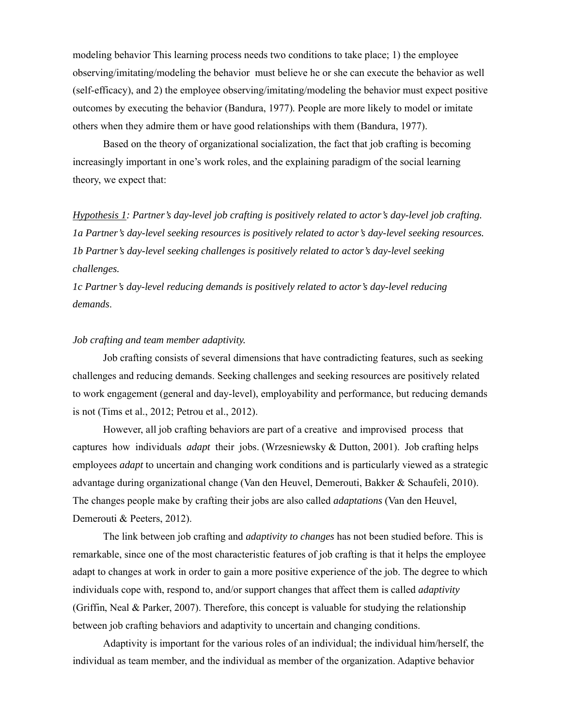modeling behavior This learning process needs two conditions to take place; 1) the employee observing/imitating/modeling the behavior must believe he or she can execute the behavior as well (self-efficacy), and 2) the employee observing/imitating/modeling the behavior must expect positive outcomes by executing the behavior (Bandura, 1977). People are more likely to model or imitate others when they admire them or have good relationships with them (Bandura, 1977).

Based on the theory of organizational socialization, the fact that job crafting is becoming increasingly important in one's work roles, and the explaining paradigm of the social learning theory, we expect that:

*Hypothesis 1: Partner's day-level job crafting is positively related to actor's day-level job crafting. 1a Partner's day-level seeking resources is positively related to actor's day-level seeking resources. 1b Partner's day-level seeking challenges is positively related to actor's day-level seeking challenges.* 

*1c Partner's day-level reducing demands is positively related to actor's day-level reducing demands*.

#### *Job crafting and team member adaptivity.*

Job crafting consists of several dimensions that have contradicting features, such as seeking challenges and reducing demands. Seeking challenges and seeking resources are positively related to work engagement (general and day-level), employability and performance, but reducing demands is not (Tims et al., 2012; Petrou et al., 2012).

However, all job crafting behaviors are part of a creative and improvised process that captures how individuals *adapt* their jobs. (Wrzesniewsky & Dutton, 2001). Job crafting helps employees *adapt* to uncertain and changing work conditions and is particularly viewed as a strategic advantage during organizational change (Van den Heuvel, Demerouti, Bakker & Schaufeli, 2010). The changes people make by crafting their jobs are also called *adaptations* (Van den Heuvel, Demerouti & Peeters, 2012).

The link between job crafting and *adaptivity to changes* has not been studied before. This is remarkable, since one of the most characteristic features of job crafting is that it helps the employee adapt to changes at work in order to gain a more positive experience of the job. The degree to which individuals cope with, respond to, and/or support changes that affect them is called *adaptivity* (Griffin, Neal & Parker, 2007). Therefore, this concept is valuable for studying the relationship between job crafting behaviors and adaptivity to uncertain and changing conditions.

Adaptivity is important for the various roles of an individual; the individual him/herself, the individual as team member, and the individual as member of the organization. Adaptive behavior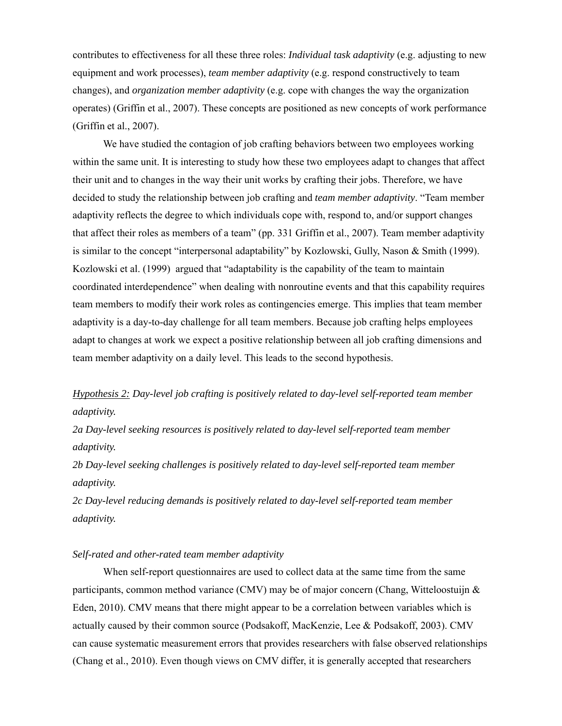contributes to effectiveness for all these three roles: *Individual task adaptivity* (e.g. adjusting to new equipment and work processes), *team member adaptivity* (e.g. respond constructively to team changes), and *organization member adaptivity* (e.g. cope with changes the way the organization operates) (Griffin et al., 2007). These concepts are positioned as new concepts of work performance (Griffin et al., 2007).

We have studied the contagion of job crafting behaviors between two employees working within the same unit. It is interesting to study how these two employees adapt to changes that affect their unit and to changes in the way their unit works by crafting their jobs. Therefore, we have decided to study the relationship between job crafting and *team member adaptivity*. "Team member adaptivity reflects the degree to which individuals cope with, respond to, and/or support changes that affect their roles as members of a team" (pp. 331 Griffin et al., 2007). Team member adaptivity is similar to the concept "interpersonal adaptability" by Kozlowski, Gully, Nason & Smith (1999). Kozlowski et al. (1999) argued that "adaptability is the capability of the team to maintain coordinated interdependence" when dealing with nonroutine events and that this capability requires team members to modify their work roles as contingencies emerge. This implies that team member adaptivity is a day-to-day challenge for all team members. Because job crafting helps employees adapt to changes at work we expect a positive relationship between all job crafting dimensions and team member adaptivity on a daily level. This leads to the second hypothesis.

# *Hypothesis 2: Day-level job crafting is positively related to day-level self-reported team member adaptivity.*

*2a Day-level seeking resources is positively related to day-level self-reported team member adaptivity.* 

*2b Day-level seeking challenges is positively related to day-level self-reported team member adaptivity.* 

*2c Day-level reducing demands is positively related to day-level self-reported team member adaptivity.* 

## *Self-rated and other-rated team member adaptivity*

When self-report questionnaires are used to collect data at the same time from the same participants, common method variance (CMV) may be of major concern (Chang, Witteloostuijn & Eden, 2010). CMV means that there might appear to be a correlation between variables which is actually caused by their common source (Podsakoff, MacKenzie, Lee & Podsakoff, 2003). CMV can cause systematic measurement errors that provides researchers with false observed relationships (Chang et al., 2010). Even though views on CMV differ, it is generally accepted that researchers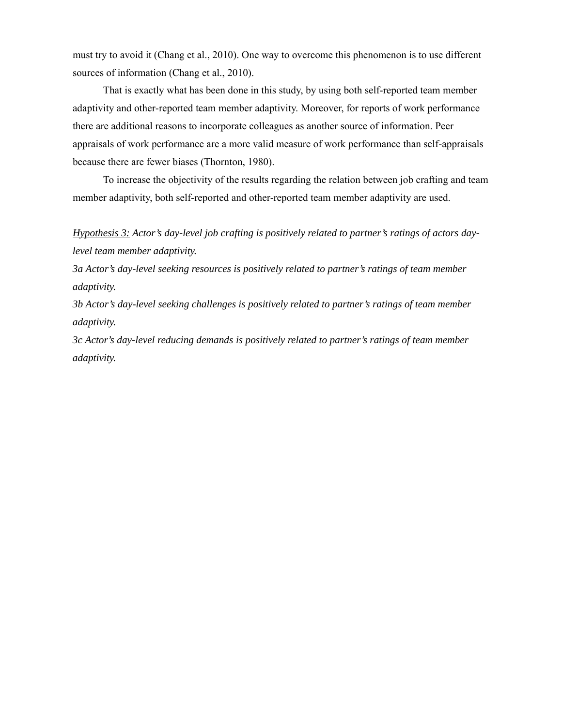must try to avoid it (Chang et al., 2010). One way to overcome this phenomenon is to use different sources of information (Chang et al., 2010).

That is exactly what has been done in this study, by using both self-reported team member adaptivity and other-reported team member adaptivity. Moreover, for reports of work performance there are additional reasons to incorporate colleagues as another source of information. Peer appraisals of work performance are a more valid measure of work performance than self-appraisals because there are fewer biases (Thornton, 1980).

To increase the objectivity of the results regarding the relation between job crafting and team member adaptivity, both self-reported and other-reported team member adaptivity are used.

*Hypothesis 3: Actor's day-level job crafting is positively related to partner's ratings of actors daylevel team member adaptivity.* 

*3a Actor's day-level seeking resources is positively related to partner's ratings of team member adaptivity.* 

*3b Actor's day-level seeking challenges is positively related to partner's ratings of team member adaptivity.*

*3c Actor's day-level reducing demands is positively related to partner's ratings of team member adaptivity.*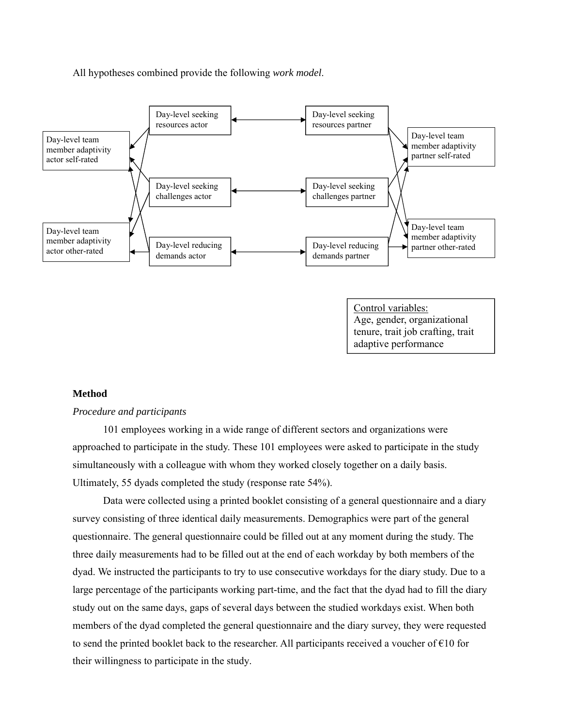All hypotheses combined provide the following *work model*.



## **Method**

## *Procedure and participants*

101 employees working in a wide range of different sectors and organizations were approached to participate in the study. These 101 employees were asked to participate in the study simultaneously with a colleague with whom they worked closely together on a daily basis. Ultimately, 55 dyads completed the study (response rate 54%).

Data were collected using a printed booklet consisting of a general questionnaire and a diary survey consisting of three identical daily measurements. Demographics were part of the general questionnaire. The general questionnaire could be filled out at any moment during the study. The three daily measurements had to be filled out at the end of each workday by both members of the dyad. We instructed the participants to try to use consecutive workdays for the diary study. Due to a large percentage of the participants working part-time, and the fact that the dyad had to fill the diary study out on the same days, gaps of several days between the studied workdays exist. When both members of the dyad completed the general questionnaire and the diary survey, they were requested to send the printed booklet back to the researcher. All participants received a voucher of  $\epsilon$ 10 for their willingness to participate in the study.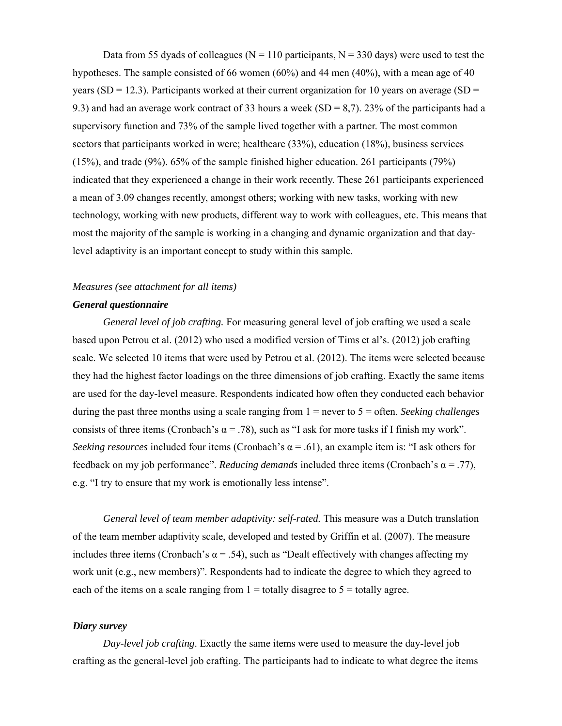Data from 55 dyads of colleagues ( $N = 110$  participants,  $N = 330$  days) were used to test the hypotheses. The sample consisted of 66 women  $(60\%)$  and 44 men  $(40\%)$ , with a mean age of 40 years (SD = 12.3). Participants worked at their current organization for 10 years on average (SD = 9.3) and had an average work contract of 33 hours a week  $(SD = 8,7)$ . 23% of the participants had a supervisory function and 73% of the sample lived together with a partner. The most common sectors that participants worked in were; healthcare (33%), education (18%), business services (15%), and trade (9%). 65% of the sample finished higher education. 261 participants (79%) indicated that they experienced a change in their work recently. These 261 participants experienced a mean of 3.09 changes recently, amongst others; working with new tasks, working with new technology, working with new products, different way to work with colleagues, etc. This means that most the majority of the sample is working in a changing and dynamic organization and that daylevel adaptivity is an important concept to study within this sample.

# *Measures (see attachment for all items)*

## *General questionnaire*

*General level of job crafting.* For measuring general level of job crafting we used a scale based upon Petrou et al. (2012) who used a modified version of Tims et al's. (2012) job crafting scale. We selected 10 items that were used by Petrou et al. (2012). The items were selected because they had the highest factor loadings on the three dimensions of job crafting. Exactly the same items are used for the day-level measure. Respondents indicated how often they conducted each behavior during the past three months using a scale ranging from 1 = never to 5 = often. *Seeking challenges*  consists of three items (Cronbach's  $\alpha$  = .78), such as "I ask for more tasks if I finish my work". *Seeking resources* included four items (Cronbach's  $\alpha$  = .61), an example item is: "I ask others for feedback on my job performance". *Reducing demands* included three items (Cronbach's  $\alpha = .77$ ), e.g. "I try to ensure that my work is emotionally less intense".

*General level of team member adaptivity: self-rated.* This measure was a Dutch translation of the team member adaptivity scale, developed and tested by Griffin et al. (2007). The measure includes three items (Cronbach's  $\alpha$  = .54), such as "Dealt effectively with changes affecting my work unit (e.g., new members)". Respondents had to indicate the degree to which they agreed to each of the items on a scale ranging from  $1 =$  totally disagree to  $5 =$  totally agree.

## *Diary survey*

*Day-level job crafting*. Exactly the same items were used to measure the day-level job crafting as the general-level job crafting. The participants had to indicate to what degree the items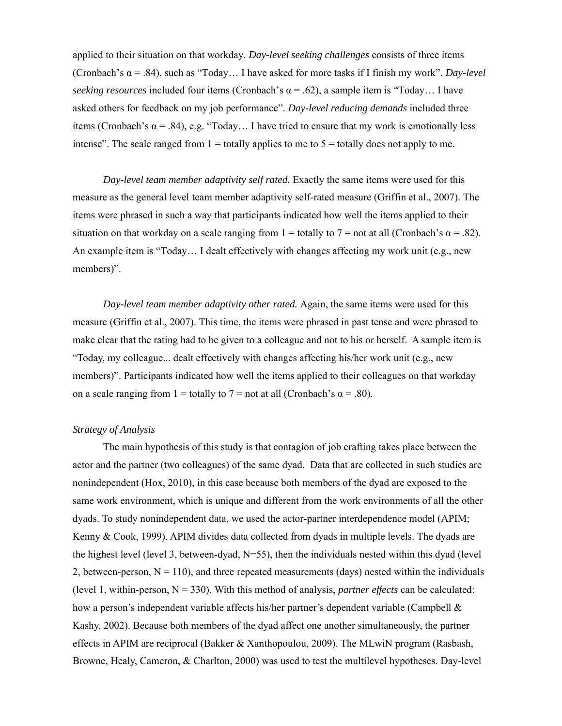applied to their situation on that workday. *Day-level seeking challenges* consists of three items (Cronbach's  $\alpha$  = .84), such as "Today... I have asked for more tasks if I finish my work". *Day-level seeking resources* included four items (Cronbach's  $\alpha$  = .62), a sample item is "Today... I have asked others for feedback on my job performance". *Day-level reducing demands* included three items (Cronbach's  $\alpha$  = .84), e.g. "Today... I have tried to ensure that my work is emotionally less intense". The scale ranged from  $1 =$  totally applies to me to  $5 =$  totally does not apply to me.

*Day-level team member adaptivity self rated.* Exactly the same items were used for this measure as the general level team member adaptivity self-rated measure (Griffin et al., 2007). The items were phrased in such a way that participants indicated how well the items applied to their situation on that workday on a scale ranging from  $1 =$  totally to  $7 =$  not at all (Cronbach's  $\alpha = .82$ ). An example item is "Today… I dealt effectively with changes affecting my work unit (e.g., new members)".

*Day-level team member adaptivity other rated.* Again, the same items were used for this measure (Griffin et al., 2007). This time, the items were phrased in past tense and were phrased to make clear that the rating had to be given to a colleague and not to his or herself. A sample item is "Today, my colleague... dealt effectively with changes affecting his/her work unit (e.g., new members)". Participants indicated how well the items applied to their colleagues on that workday on a scale ranging from 1 = totally to 7 = not at all (Cronbach's  $\alpha$  = .80).

## *Strategy of Analysis*

The main hypothesis of this study is that contagion of job crafting takes place between the actor and the partner (two colleagues) of the same dyad. Data that are collected in such studies are nonindependent (Hox, 2010), in this case because both members of the dyad are exposed to the same work environment, which is unique and different from the work environments of all the other dyads. To study nonindependent data, we used the actor-partner interdependence model (APIM; Kenny  $& Cook, 1999$ . APIM divides data collected from dyads in multiple levels. The dyads are the highest level (level 3, between-dyad,  $N=55$ ), then the individuals nested within this dyad (level 2, between-person,  $N = 110$ ), and three repeated measurements (days) nested within the individuals (level 1, within-person,  $N = 330$ ). With this method of analysis, *partner effects* can be calculated: how a person's independent variable affects his/her partner's dependent variable (Campbell & Kashy, 2002). Because both members of the dyad affect one another simultaneously, the partner effects in APIM are reciprocal (Bakker & Xanthopoulou, 2009). The MLwiN program (Rasbash, Browne, Healy, Cameron, & Charlton, 2000) was used to test the multilevel hypotheses. Day-level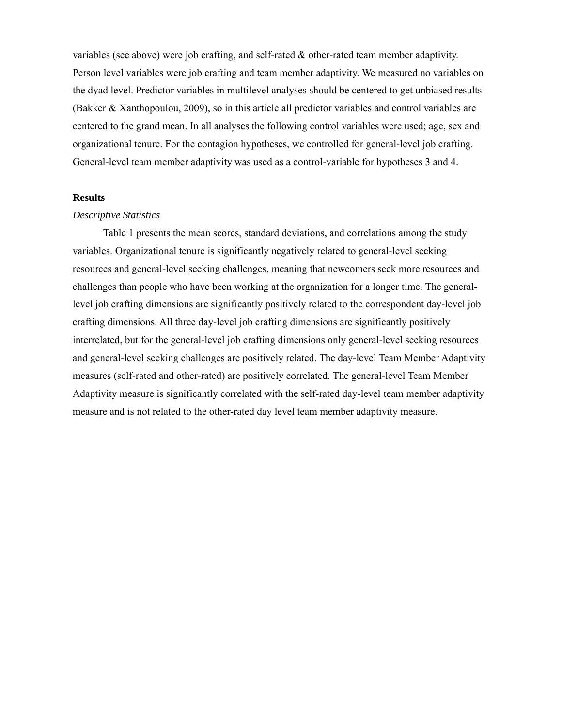variables (see above) were job crafting, and self-rated  $\&$  other-rated team member adaptivity. Person level variables were job crafting and team member adaptivity. We measured no variables on the dyad level. Predictor variables in multilevel analyses should be centered to get unbiased results (Bakker & Xanthopoulou, 2009), so in this article all predictor variables and control variables are centered to the grand mean. In all analyses the following control variables were used; age, sex and organizational tenure. For the contagion hypotheses, we controlled for general-level job crafting. General-level team member adaptivity was used as a control-variable for hypotheses 3 and 4.

## **Results**

#### *Descriptive Statistics*

Table 1 presents the mean scores, standard deviations, and correlations among the study variables. Organizational tenure is significantly negatively related to general-level seeking resources and general-level seeking challenges, meaning that newcomers seek more resources and challenges than people who have been working at the organization for a longer time. The generallevel job crafting dimensions are significantly positively related to the correspondent day-level job crafting dimensions. All three day-level job crafting dimensions are significantly positively interrelated, but for the general-level job crafting dimensions only general-level seeking resources and general-level seeking challenges are positively related. The day-level Team Member Adaptivity measures (self-rated and other-rated) are positively correlated. The general-level Team Member Adaptivity measure is significantly correlated with the self-rated day-level team member adaptivity measure and is not related to the other-rated day level team member adaptivity measure.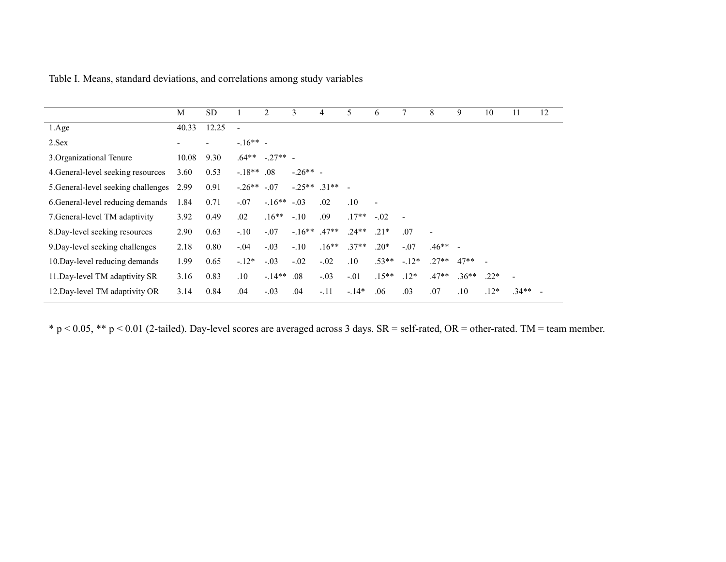|                                     | M     | <b>SD</b> |              | 2           | 3               | 4       | 5.      | 6                        | 7      | 8         | 9       | 10     | 11             | 12 |
|-------------------------------------|-------|-----------|--------------|-------------|-----------------|---------|---------|--------------------------|--------|-----------|---------|--------|----------------|----|
| 1.Age                               | 40.33 | 12.25     |              |             |                 |         |         |                          |        |           |         |        |                |    |
| 2.Sex                               |       |           | $-16** -$    |             |                 |         |         |                          |        |           |         |        |                |    |
| 3. Organizational Tenure            | 10.08 | 9.30      | $.64**$      | $-27**$ -   |                 |         |         |                          |        |           |         |        |                |    |
| 4. General-level seeking resources  | 3.60  | 0.53      | $-.18**$ .08 |             | $-.26**$ -      |         |         |                          |        |           |         |        |                |    |
| 5. General-level seeking challenges | 2.99  | 0.91      | $-.26**$     | $-.07$      | $-0.25**$ .31** |         |         |                          |        |           |         |        |                |    |
| 6. General-level reducing demands   | 1.84  | 0.71      | $-.07$       | $-16** -03$ |                 | .02     | .10     | $\overline{\phantom{a}}$ |        |           |         |        |                |    |
| 7. General-level TM adaptivity      | 3.92  | 0.49      | .02          | $.16**$     | $-.10$          | .09     | $.17**$ | $-.02$                   |        |           |         |        |                |    |
| 8. Day-level seeking resources      | 2.90  | 0.63      | $-.10$       | $-.07$      | $-16**$         | $.47**$ | $.24**$ | $.21*$                   | .07    |           |         |        |                |    |
| 9. Day-level seeking challenges     | 2.18  | 0.80      | $-.04$       | $-.03$      | $-.10$          | $.16**$ | $.37**$ | $.20*$                   | $-.07$ | $.46**$ - |         |        |                |    |
| 10. Day-level reducing demands      | 1.99  | 0.65      | $-12*$       | $-.03$      | $-.02$          | $-.02$  | .10     | $.53**$                  | $-12*$ | $.27**$   | $47**$  |        |                |    |
| 11. Day-level TM adaptivity SR      | 3.16  | 0.83      | .10          | $-14**$     | .08             | $-.03$  | $-.01$  | $.15**$                  | $.12*$ | $.47**$   | $.36**$ | $.22*$ | $\blacksquare$ |    |
| 12. Day-level TM adaptivity OR      | 3.14  | 0.84      | .04          | $-.03$      | .04             | $-.11$  | $-14*$  | .06                      | .03    | .07       | .10     | $.12*$ | $.34**$        |    |

Table I. Means, standard deviations, and correlations among study variables

\* p < 0.05, \*\* p < 0.01 (2-tailed). Day-level scores are averaged across 3 days. SR = self-rated, OR = other-rated. TM = team member.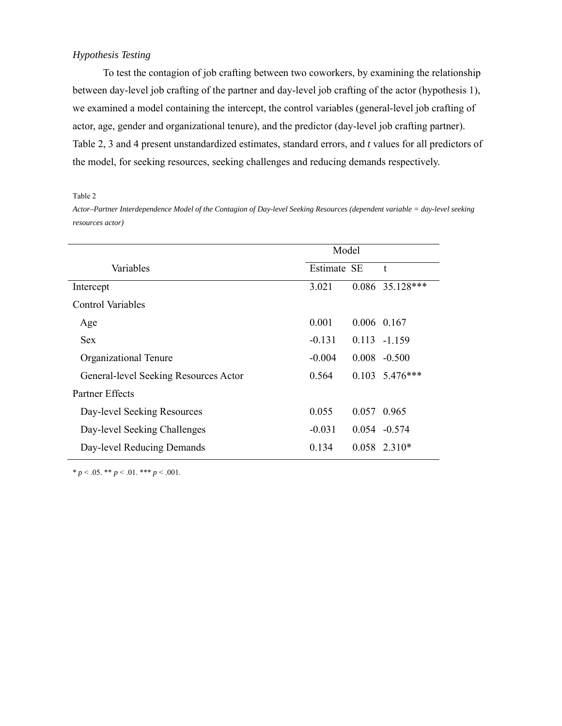## *Hypothesis Testing*

To test the contagion of job crafting between two coworkers, by examining the relationship between day-level job crafting of the partner and day-level job crafting of the actor (hypothesis 1), we examined a model containing the intercept, the control variables (general-level job crafting of actor, age, gender and organizational tenure), and the predictor (day-level job crafting partner). Table 2, 3 and 4 present unstandardized estimates, standard errors, and *t* values for all predictors of the model, for seeking resources, seeking challenges and reducing demands respectively.

Table 2

*Actor–Partner Interdependence Model of the Contagion of Day-level Seeking Resources (dependent variable = day-level seeking resources actor)*

|                                       | Model       |  |                        |  |  |
|---------------------------------------|-------------|--|------------------------|--|--|
| Variables                             | Estimate SE |  | t                      |  |  |
| Intercept                             | 3.021       |  | $0.086$ 35.128***      |  |  |
| <b>Control Variables</b>              |             |  |                        |  |  |
| Age                                   | 0.001       |  | 0.006 0.167            |  |  |
| <b>Sex</b>                            | $-0.131$    |  | $0.113 - 1.159$        |  |  |
| Organizational Tenure                 | $-0.004$    |  | $0.008 - 0.500$        |  |  |
| General-level Seeking Resources Actor | 0.564       |  | $0.103 \quad 5.476***$ |  |  |
| Partner Effects                       |             |  |                        |  |  |
| Day-level Seeking Resources           | 0.055       |  | 0.057 0.965            |  |  |
| Day-level Seeking Challenges          | $-0.031$    |  | $0.054 - 0.574$        |  |  |
| Day-level Reducing Demands            | 0.134       |  | $0.058$ 2.310*         |  |  |

 $* p < .05. ** p < .01.*** p < .001.$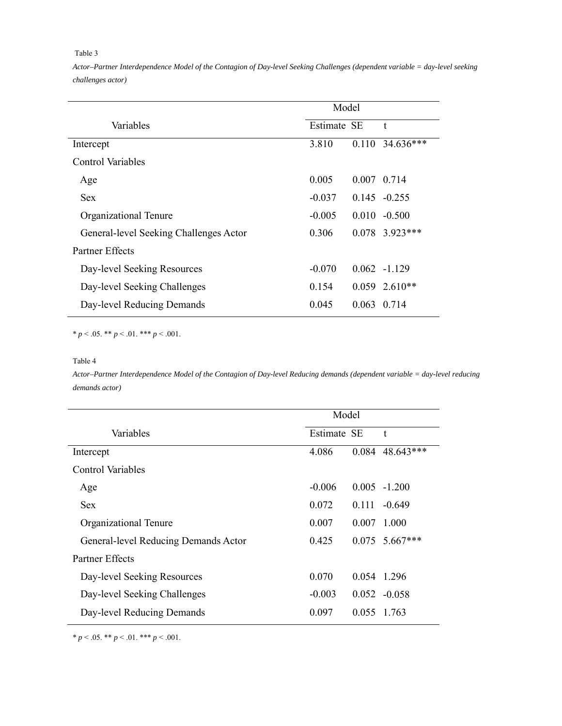#### Table 3

*Actor–Partner Interdependence Model of the Contagion of Day-level Seeking Challenges (dependent variable = day-level seeking challenges actor)*

|                                        | Model       |  |                   |  |
|----------------------------------------|-------------|--|-------------------|--|
| Variables                              | Estimate SE |  | t                 |  |
| Intercept                              | 3.810       |  | $0.110$ 34.636*** |  |
| <b>Control Variables</b>               |             |  |                   |  |
| Age                                    | 0.005       |  | 0 0 0 7 1 4       |  |
| Sex                                    | $-0.037$    |  | $0.145 - 0.255$   |  |
| Organizational Tenure                  | $-0.005$    |  | $0.010 - 0.500$   |  |
| General-level Seeking Challenges Actor | 0.306       |  | $0.078$ 3.923***  |  |
| <b>Partner Effects</b>                 |             |  |                   |  |
| Day-level Seeking Resources            | $-0.070$    |  | $0.062 -1.129$    |  |
| Day-level Seeking Challenges           | 0.154       |  | $0.059$ 2.610**   |  |
| Day-level Reducing Demands             | 0.045       |  | 0.063 0.714       |  |

 $* p < .05$ .  $* p < .01$ .  $* * p < .001$ .

#### Table 4

*Actor–Partner Interdependence Model of the Contagion of Day-level Reducing demands (dependent variable = day-level reducing demands actor)*

| Model    |       |                                      |  |  |
|----------|-------|--------------------------------------|--|--|
|          |       | t                                    |  |  |
| 4.086    |       | $0.084$ 48.643***                    |  |  |
|          |       |                                      |  |  |
| $-0.006$ |       | $0.005 - 1.200$                      |  |  |
| 0.072    |       | $-0.649$                             |  |  |
| 0.007    | 0.007 | 1.000                                |  |  |
| 0.425    |       | $0.075$ 5.667***                     |  |  |
|          |       |                                      |  |  |
| 0.070    |       | 0.054 1.296                          |  |  |
| $-0.003$ |       | $0.052 - 0.058$                      |  |  |
| 0.097    |       |                                      |  |  |
|          |       | Estimate SE<br>0111<br>0 0 5 1 7 6 3 |  |  |

 $* p < .05$ .  $** p < .01$ .  $*** p < .001$ .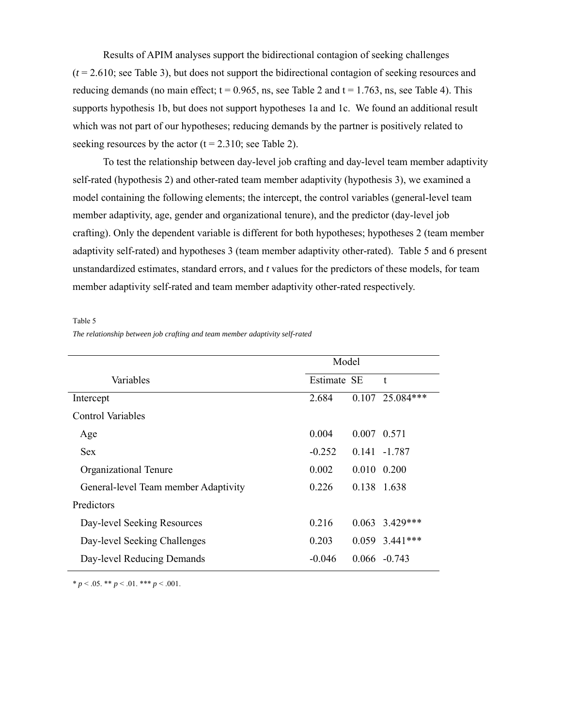Results of APIM analyses support the bidirectional contagion of seeking challenges (*t* = 2.610; see Table 3), but does not support the bidirectional contagion of seeking resources and reducing demands (no main effect;  $t = 0.965$ , ns, see Table 2 and  $t = 1.763$ , ns, see Table 4). This supports hypothesis 1b, but does not support hypotheses 1a and 1c. We found an additional result which was not part of our hypotheses; reducing demands by the partner is positively related to seeking resources by the actor  $(t = 2.310)$ ; see Table 2).

To test the relationship between day-level job crafting and day-level team member adaptivity self-rated (hypothesis 2) and other-rated team member adaptivity (hypothesis 3), we examined a model containing the following elements; the intercept, the control variables (general-level team member adaptivity, age, gender and organizational tenure), and the predictor (day-level job crafting). Only the dependent variable is different for both hypotheses; hypotheses 2 (team member adaptivity self-rated) and hypotheses 3 (team member adaptivity other-rated). Table 5 and 6 present unstandardized estimates, standard errors, and *t* values for the predictors of these models, for team member adaptivity self-rated and team member adaptivity other-rated respectively.

Table 5

|  |  | The relationship between job crafting and team member adaptivity self-rated |
|--|--|-----------------------------------------------------------------------------|
|  |  |                                                                             |

|                                      | Model       |                     |                   |  |  |  |
|--------------------------------------|-------------|---------------------|-------------------|--|--|--|
| Variables                            | Estimate SE |                     | t                 |  |  |  |
| Intercept                            | 2.684       |                     | $0.107$ 25.084*** |  |  |  |
| <b>Control Variables</b>             |             |                     |                   |  |  |  |
| Age                                  | 0.004       | 0 0 0 5 7 1         |                   |  |  |  |
| <b>Sex</b>                           | $-0.252$    |                     | $0.141 - 1.787$   |  |  |  |
| Organizational Tenure                | 0.002       | $0.010 \quad 0.200$ |                   |  |  |  |
| General-level Team member Adaptivity | 0.226       | 0.138 1.638         |                   |  |  |  |
| Predictors                           |             |                     |                   |  |  |  |
| Day-level Seeking Resources          | 0.216       |                     | $0.063$ 3.429***  |  |  |  |
| Day-level Seeking Challenges         | 0.203       |                     | $0.059$ 3.441***  |  |  |  |
| Day-level Reducing Demands           | $-0.046$    |                     | $0.066 - 0.743$   |  |  |  |

 $* p < .05$ . \*\*  $p < .01$ . \*\*\*  $p < .001$ .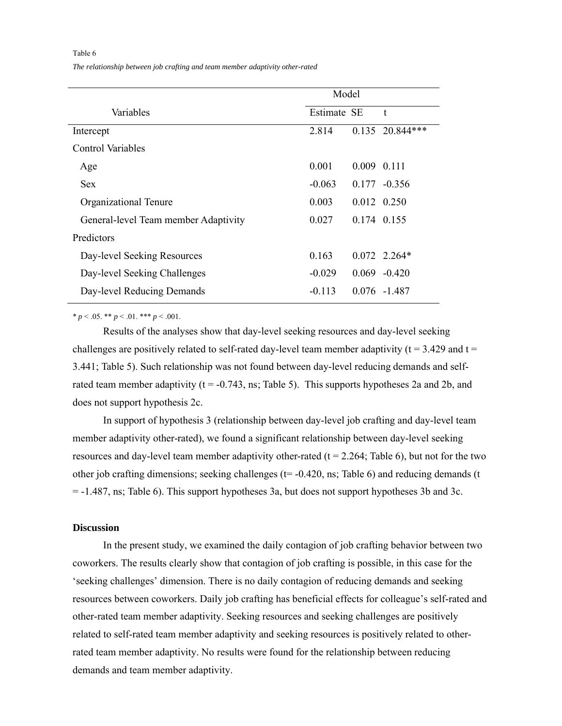Table 6

*The relationship between job crafting and team member adaptivity other-rated* 

|                                      | Model       |               |                   |  |  |
|--------------------------------------|-------------|---------------|-------------------|--|--|
| Variables                            | Estimate SE |               | t                 |  |  |
| Intercept                            | 2.814       |               | $0.135$ 20.844*** |  |  |
| Control Variables                    |             |               |                   |  |  |
| Age                                  | 0.001       | 0.009 0.111   |                   |  |  |
| <b>Sex</b>                           | $-0.063$    |               | $0.177 - 0.356$   |  |  |
| Organizational Tenure                | 0.003       |               | 0.012 0.250       |  |  |
| General-level Team member Adaptivity | 0.027       | 0 1 74 0 1 55 |                   |  |  |
| Predictors                           |             |               |                   |  |  |
| Day-level Seeking Resources          | 0.163       |               | $0.072$ 2.264*    |  |  |
| Day-level Seeking Challenges         | $-0.029$    |               | $0.069 - 0.420$   |  |  |
| Day-level Reducing Demands           | $-0.113$    |               | $0.076 - 1.487$   |  |  |

 $* p < .05$ .  $** p < .01$ .  $*** p < .001$ .

Results of the analyses show that day-level seeking resources and day-level seeking challenges are positively related to self-rated day-level team member adaptivity ( $t = 3.429$  and  $t =$ 3.441; Table 5). Such relationship was not found between day-level reducing demands and selfrated team member adaptivity ( $t = -0.743$ , ns; Table 5). This supports hypotheses 2a and 2b, and does not support hypothesis 2c.

In support of hypothesis 3 (relationship between day-level job crafting and day-level team member adaptivity other-rated), we found a significant relationship between day-level seeking resources and day-level team member adaptivity other-rated  $(t = 2.264;$  Table 6), but not for the two other job crafting dimensions; seeking challenges ( $t = -0.420$ , ns; Table 6) and reducing demands (t = -1.487, ns; Table 6). This support hypotheses 3a, but does not support hypotheses 3b and 3c.

## **Discussion**

In the present study, we examined the daily contagion of job crafting behavior between two coworkers. The results clearly show that contagion of job crafting is possible, in this case for the 'seeking challenges' dimension. There is no daily contagion of reducing demands and seeking resources between coworkers. Daily job crafting has beneficial effects for colleague's self-rated and other-rated team member adaptivity. Seeking resources and seeking challenges are positively related to self-rated team member adaptivity and seeking resources is positively related to otherrated team member adaptivity. No results were found for the relationship between reducing demands and team member adaptivity.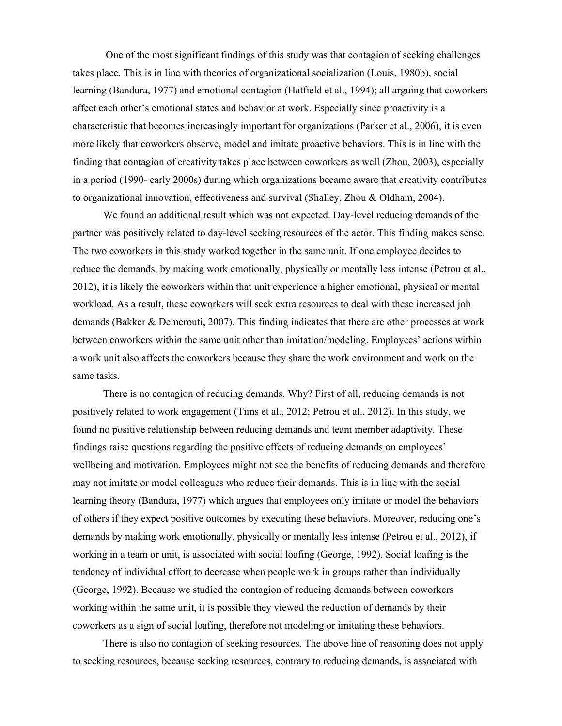One of the most significant findings of this study was that contagion of seeking challenges takes place. This is in line with theories of organizational socialization (Louis, 1980b), social learning (Bandura, 1977) and emotional contagion (Hatfield et al., 1994); all arguing that coworkers affect each other's emotional states and behavior at work. Especially since proactivity is a characteristic that becomes increasingly important for organizations (Parker et al., 2006), it is even more likely that coworkers observe, model and imitate proactive behaviors. This is in line with the finding that contagion of creativity takes place between coworkers as well (Zhou, 2003), especially in a period (1990- early 2000s) during which organizations became aware that creativity contributes to organizational innovation, effectiveness and survival (Shalley, Zhou & Oldham, 2004).

We found an additional result which was not expected. Day-level reducing demands of the partner was positively related to day-level seeking resources of the actor. This finding makes sense. The two coworkers in this study worked together in the same unit. If one employee decides to reduce the demands, by making work emotionally, physically or mentally less intense (Petrou et al., 2012), it is likely the coworkers within that unit experience a higher emotional, physical or mental workload. As a result, these coworkers will seek extra resources to deal with these increased job demands (Bakker & Demerouti, 2007). This finding indicates that there are other processes at work between coworkers within the same unit other than imitation/modeling. Employees' actions within a work unit also affects the coworkers because they share the work environment and work on the same tasks.

There is no contagion of reducing demands. Why? First of all, reducing demands is not positively related to work engagement (Tims et al., 2012; Petrou et al., 2012). In this study, we found no positive relationship between reducing demands and team member adaptivity. These findings raise questions regarding the positive effects of reducing demands on employees' wellbeing and motivation. Employees might not see the benefits of reducing demands and therefore may not imitate or model colleagues who reduce their demands. This is in line with the social learning theory (Bandura, 1977) which argues that employees only imitate or model the behaviors of others if they expect positive outcomes by executing these behaviors. Moreover, reducing one's demands by making work emotionally, physically or mentally less intense (Petrou et al., 2012), if working in a team or unit, is associated with social loafing (George, 1992). Social loafing is the tendency of individual effort to decrease when people work in groups rather than individually (George, 1992). Because we studied the contagion of reducing demands between coworkers working within the same unit, it is possible they viewed the reduction of demands by their coworkers as a sign of social loafing, therefore not modeling or imitating these behaviors.

There is also no contagion of seeking resources. The above line of reasoning does not apply to seeking resources, because seeking resources, contrary to reducing demands, is associated with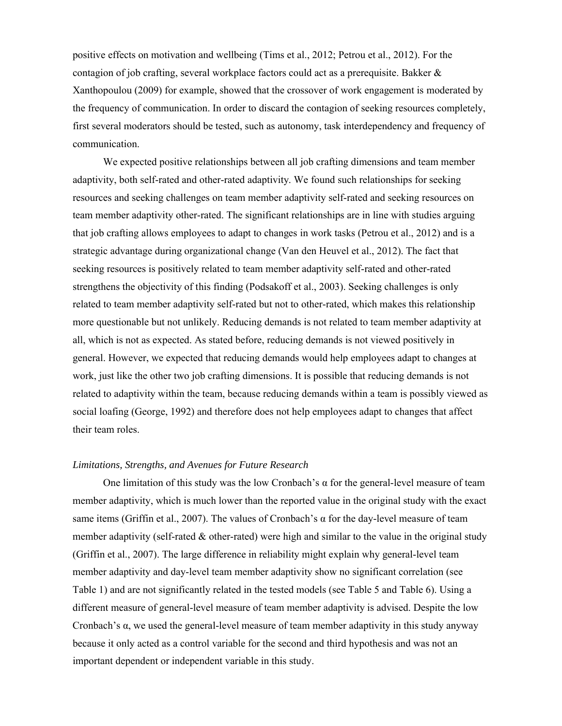positive effects on motivation and wellbeing (Tims et al., 2012; Petrou et al., 2012). For the contagion of job crafting, several workplace factors could act as a prerequisite. Bakker & Xanthopoulou (2009) for example, showed that the crossover of work engagement is moderated by the frequency of communication. In order to discard the contagion of seeking resources completely, first several moderators should be tested, such as autonomy, task interdependency and frequency of communication.

We expected positive relationships between all job crafting dimensions and team member adaptivity, both self-rated and other-rated adaptivity. We found such relationships for seeking resources and seeking challenges on team member adaptivity self-rated and seeking resources on team member adaptivity other-rated. The significant relationships are in line with studies arguing that job crafting allows employees to adapt to changes in work tasks (Petrou et al., 2012) and is a strategic advantage during organizational change (Van den Heuvel et al., 2012). The fact that seeking resources is positively related to team member adaptivity self-rated and other-rated strengthens the objectivity of this finding (Podsakoff et al., 2003). Seeking challenges is only related to team member adaptivity self-rated but not to other-rated, which makes this relationship more questionable but not unlikely. Reducing demands is not related to team member adaptivity at all, which is not as expected. As stated before, reducing demands is not viewed positively in general. However, we expected that reducing demands would help employees adapt to changes at work, just like the other two job crafting dimensions. It is possible that reducing demands is not related to adaptivity within the team, because reducing demands within a team is possibly viewed as social loafing (George, 1992) and therefore does not help employees adapt to changes that affect their team roles.

#### *Limitations, Strengths, and Avenues for Future Research*

One limitation of this study was the low Cronbach's α for the general-level measure of team member adaptivity, which is much lower than the reported value in the original study with the exact same items (Griffin et al., 2007). The values of Cronbach's  $\alpha$  for the day-level measure of team member adaptivity (self-rated  $\&$  other-rated) were high and similar to the value in the original study (Griffin et al., 2007). The large difference in reliability might explain why general-level team member adaptivity and day-level team member adaptivity show no significant correlation (see Table 1) and are not significantly related in the tested models (see Table 5 and Table 6). Using a different measure of general-level measure of team member adaptivity is advised. Despite the low Cronbach's  $\alpha$ , we used the general-level measure of team member adaptivity in this study anyway because it only acted as a control variable for the second and third hypothesis and was not an important dependent or independent variable in this study.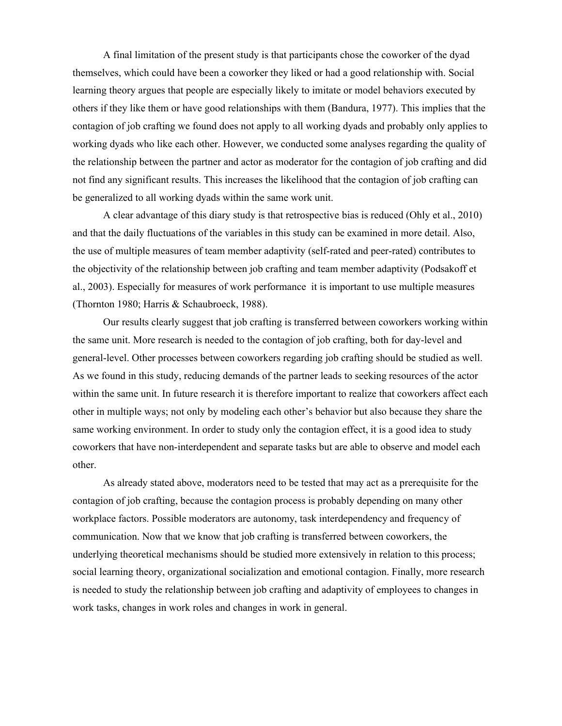A final limitation of the present study is that participants chose the coworker of the dyad themselves, which could have been a coworker they liked or had a good relationship with. Social learning theory argues that people are especially likely to imitate or model behaviors executed by others if they like them or have good relationships with them (Bandura, 1977). This implies that the contagion of job crafting we found does not apply to all working dyads and probably only applies to working dyads who like each other. However, we conducted some analyses regarding the quality of the relationship between the partner and actor as moderator for the contagion of job crafting and did not find any significant results. This increases the likelihood that the contagion of job crafting can be generalized to all working dyads within the same work unit.

A clear advantage of this diary study is that retrospective bias is reduced (Ohly et al., 2010) and that the daily fluctuations of the variables in this study can be examined in more detail. Also, the use of multiple measures of team member adaptivity (self-rated and peer-rated) contributes to the objectivity of the relationship between job crafting and team member adaptivity (Podsakoff et al., 2003). Especially for measures of work performance it is important to use multiple measures (Thornton 1980; Harris & Schaubroeck, 1988).

Our results clearly suggest that job crafting is transferred between coworkers working within the same unit. More research is needed to the contagion of job crafting, both for day-level and general-level. Other processes between coworkers regarding job crafting should be studied as well. As we found in this study, reducing demands of the partner leads to seeking resources of the actor within the same unit. In future research it is therefore important to realize that coworkers affect each other in multiple ways; not only by modeling each other's behavior but also because they share the same working environment. In order to study only the contagion effect, it is a good idea to study coworkers that have non-interdependent and separate tasks but are able to observe and model each other.

As already stated above, moderators need to be tested that may act as a prerequisite for the contagion of job crafting, because the contagion process is probably depending on many other workplace factors. Possible moderators are autonomy, task interdependency and frequency of communication. Now that we know that job crafting is transferred between coworkers, the underlying theoretical mechanisms should be studied more extensively in relation to this process; social learning theory, organizational socialization and emotional contagion. Finally, more research is needed to study the relationship between job crafting and adaptivity of employees to changes in work tasks, changes in work roles and changes in work in general.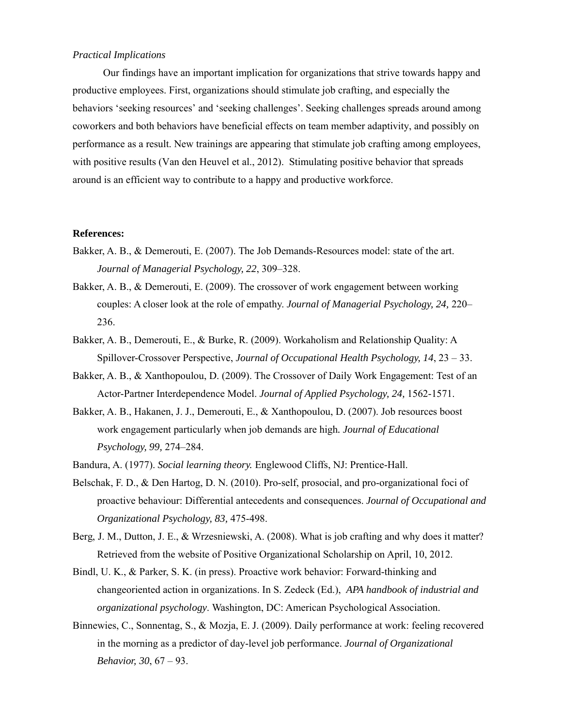## *Practical Implications*

Our findings have an important implication for organizations that strive towards happy and productive employees. First, organizations should stimulate job crafting, and especially the behaviors 'seeking resources' and 'seeking challenges'. Seeking challenges spreads around among coworkers and both behaviors have beneficial effects on team member adaptivity, and possibly on performance as a result. New trainings are appearing that stimulate job crafting among employees, with positive results (Van den Heuvel et al., 2012). Stimulating positive behavior that spreads around is an efficient way to contribute to a happy and productive workforce.

## **References:**

- Bakker, A. B., & Demerouti, E. (2007). The Job Demands-Resources model: state of the art. *Journal of Managerial Psychology, 22*, 309–328.
- Bakker, A. B., & Demerouti, E. (2009). The crossover of work engagement between working couples: A closer look at the role of empathy. *Journal of Managerial Psychology, 24,* 220– 236.
- Bakker, A. B., Demerouti, E., & Burke, R. (2009). Workaholism and Relationship Quality: A Spillover-Crossover Perspective, *Journal of Occupational Health Psychology, 14*, 23 – 33.
- Bakker, A. B., & Xanthopoulou, D. (2009). The Crossover of Daily Work Engagement: Test of an Actor-Partner Interdependence Model. *Journal of Applied Psychology, 24,* 1562-1571.
- Bakker, A. B., Hakanen, J. J., Demerouti, E., & Xanthopoulou, D. (2007). Job resources boost work engagement particularly when job demands are high*. Journal of Educational Psychology, 99,* 274–284.
- Bandura, A. (1977). *Social learning theory.* Englewood Cliffs, NJ: Prentice-Hall.
- Belschak, F. D., & Den Hartog, D. N. (2010). Pro-self, prosocial, and pro-organizational foci of proactive behaviour: Differential antecedents and consequences. *Journal of Occupational and Organizational Psychology, 83,* 475-498.
- Berg, J. M., Dutton, J. E., & Wrzesniewski, A. (2008). What is job crafting and why does it matter? Retrieved from the website of Positive Organizational Scholarship on April, 10, 2012.
- Bindl, U. K., & Parker, S. K. (in press). Proactive work behavior: Forward-thinking and changeoriented action in organizations. In S. Zedeck (Ed.), *APA handbook of industrial and organizational psychology*. Washington, DC: American Psychological Association.
- Binnewies, C., Sonnentag, S., & Mozja, E. J. (2009). Daily performance at work: feeling recovered in the morning as a predictor of day-level job performance. *Journal of Organizational Behavior, 30*, 67 – 93.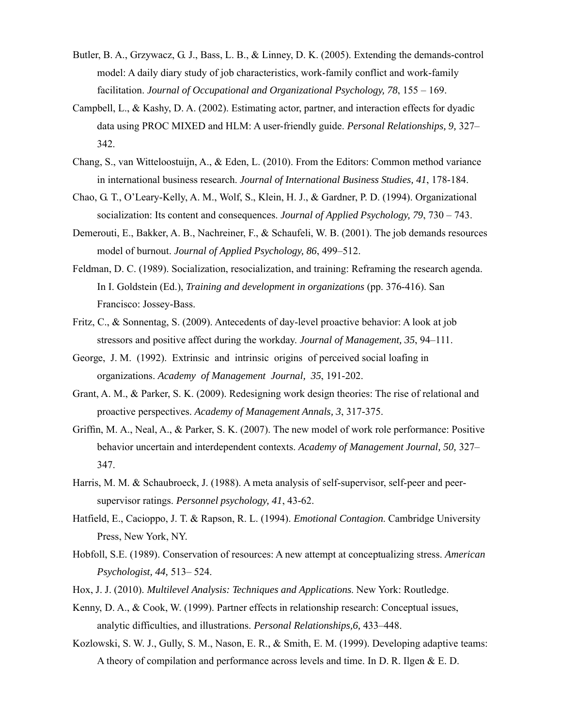- Butler, B. A., Grzywacz, G. J., Bass, L. B., & Linney, D. K. (2005). Extending the demands-control model: A daily diary study of job characteristics, work-family conflict and work-family facilitation. *Journal of Occupational and Organizational Psychology, 78*, 155 – 169.
- Campbell, L., & Kashy, D. A. (2002). Estimating actor, partner, and interaction effects for dyadic data using PROC MIXED and HLM: A user-friendly guide. *Personal Relationships, 9,* 327– 342.
- Chang, S., van Witteloostuijn, A., & Eden, L. (2010). From the Editors: Common method variance in international business research. *Journal of International Business Studies, 41*, 178-184.
- Chao, G. T., O'Leary-Kelly, A. M., Wolf, S., Klein, H. J., & Gardner, P. D. (1994). Organizational socialization: Its content and consequences. *Journal of Applied Psychology, 79*, 730 – 743.
- Demerouti, E., Bakker, A. B., Nachreiner, F., & Schaufeli, W. B. (2001). The job demands resources model of burnout. *Journal of Applied Psychology, 86*, 499–512.
- Feldman, D. C. (1989). Socialization, resocialization, and training: Reframing the research agenda. In I. Goldstein (Ed.), *Training and development in organizations* (pp. 376-416). San Francisco: Jossey-Bass.
- Fritz, C., & Sonnentag, S. (2009). Antecedents of day-level proactive behavior: A look at job stressors and positive affect during the workday. *Journal of Management, 35*, 94–111.
- George, J. M. (1992). Extrinsic and intrinsic origins of perceived social loafing in organizations. *Academy of Management Journal, 35*, 191-202.
- Grant, A. M., & Parker, S. K. (2009). Redesigning work design theories: The rise of relational and proactive perspectives. *Academy of Management Annals, 3*, 317-375.
- Griffin, M. A., Neal, A., & Parker, S. K. (2007). The new model of work role performance: Positive behavior uncertain and interdependent contexts. *Academy of Management Journal, 50,* 327– 347.
- Harris, M. M. & Schaubroeck, J. (1988). A meta analysis of self-supervisor, self-peer and peersupervisor ratings. *Personnel psychology, 41*, 43-62.
- Hatfield, E., Cacioppo, J. T. & Rapson, R. L. (1994). *Emotional Contagion*. Cambridge University Press, New York, NY.
- Hobfoll, S.E. (1989). Conservation of resources: A new attempt at conceptualizing stress. *American Psychologist, 44,* 513– 524.
- Hox, J. J. (2010). *Multilevel Analysis: Techniques and Applications*. New York: Routledge.
- Kenny, D. A., & Cook, W. (1999). Partner effects in relationship research: Conceptual issues, analytic difficulties, and illustrations. *Personal Relationships,6,* 433–448.
- Kozlowski, S. W. J., Gully, S. M., Nason, E. R., & Smith, E. M. (1999). Developing adaptive teams: A theory of compilation and performance across levels and time. In D. R. Ilgen & E. D.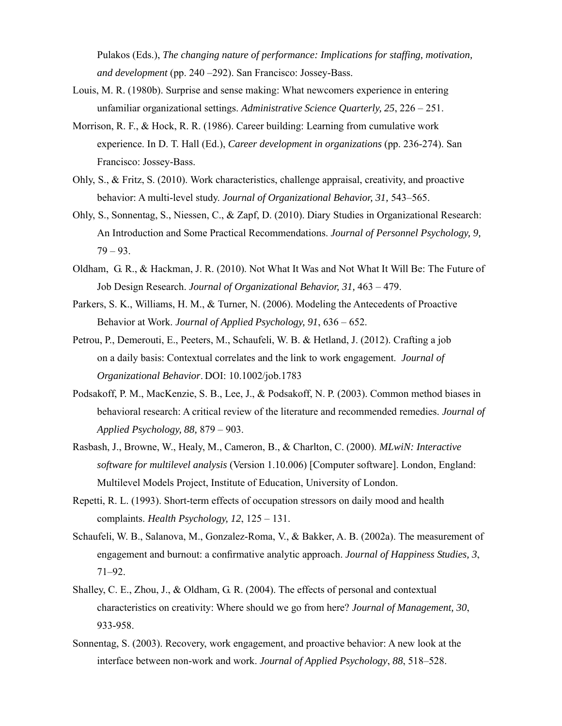Pulakos (Eds.), *The changing nature of performance: Implications for staffing, motivation, and development* (pp. 240 –292). San Francisco: Jossey-Bass.

- Louis, M. R. (1980b). Surprise and sense making: What newcomers experience in entering unfamiliar organizational settings. *Administrative Science Quarterly, 25*, 226 – 251.
- Morrison, R. F., & Hock, R. R. (1986). Career building: Learning from cumulative work experience. In D. T. Hall (Ed.), *Career development in organizations* (pp. 236-274). San Francisco: Jossey-Bass.
- Ohly, S., & Fritz, S. (2010). Work characteristics, challenge appraisal, creativity, and proactive behavior: A multi-level study. *Journal of Organizational Behavior, 31,* 543–565.
- Ohly, S., Sonnentag, S., Niessen, C., & Zapf, D. (2010). Diary Studies in Organizational Research: An Introduction and Some Practical Recommendations. *Journal of Personnel Psychology, 9,*   $79 - 93.$
- Oldham, G. R., & Hackman, J. R. (2010). Not What It Was and Not What It Will Be: The Future of Job Design Research. *Journal of Organizational Behavior, 31,* 463 – 479.
- Parkers, S. K., Williams, H. M., & Turner, N. (2006). Modeling the Antecedents of Proactive Behavior at Work. *Journal of Applied Psychology, 91*, 636 – 652.
- Petrou, P., Demerouti, E., Peeters, M., Schaufeli, W. B. & Hetland, J. (2012). Crafting a job on a daily basis: Contextual correlates and the link to work engagement. *Journal of Organizational Behavior*. DOI: 10.1002/job.1783
- Podsakoff, P. M., MacKenzie, S. B., Lee, J., & Podsakoff, N. P. (2003). Common method biases in behavioral research: A critical review of the literature and recommended remedies. *Journal of Applied Psychology, 88,* 879 – 903.
- Rasbash, J., Browne, W., Healy, M., Cameron, B., & Charlton, C. (2000). *MLwiN: Interactive software for multilevel analysis* (Version 1.10.006) [Computer software]. London, England: Multilevel Models Project, Institute of Education, University of London.
- Repetti, R. L. (1993). Short-term effects of occupation stressors on daily mood and health complaints. *Health Psychology, 12*, 125 – 131.
- Schaufeli, W. B., Salanova, M., Gonzalez-Roma, V., & Bakker, A. B. (2002a). The measurement of engagement and burnout: a confirmative analytic approach. *Journal of Happiness Studies, 3*, 71–92.
- Shalley, C. E., Zhou, J., & Oldham, G. R. (2004). The effects of personal and contextual characteristics on creativity: Where should we go from here? *Journal of Management, 30*, 933-958.
- Sonnentag, S. (2003). Recovery, work engagement, and proactive behavior: A new look at the interface between non-work and work. *Journal of Applied Psychology*, *88*, 518–528.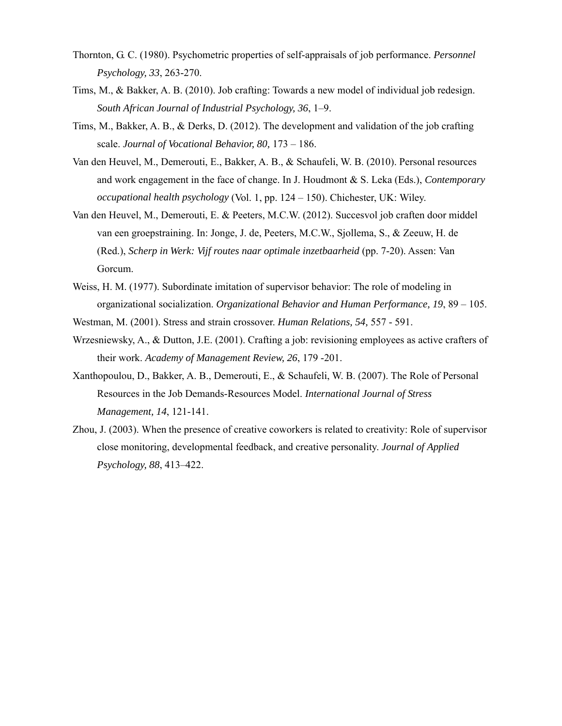- Thornton, G. C. (1980). Psychometric properties of self-appraisals of job performance. *Personnel Psychology, 33*, 263-270.
- Tims, M., & Bakker, A. B. (2010). Job crafting: Towards a new model of individual job redesign. *South African Journal of Industrial Psychology, 36*, 1–9.
- Tims, M., Bakker, A. B., & Derks, D. (2012). The development and validation of the job crafting scale. *Journal of Vocational Behavior, 80,* 173 – 186.
- Van den Heuvel, M., Demerouti, E., Bakker, A. B., & Schaufeli, W. B. (2010). Personal resources and work engagement in the face of change. In J. Houdmont & S. Leka (Eds.), *Contemporary occupational health psychology* (Vol. 1, pp. 124 – 150). Chichester, UK: Wiley.
- Van den Heuvel, M., Demerouti, E. & Peeters, M.C.W. (2012). Succesvol job craften door middel van een groepstraining. In: Jonge, J. de, Peeters, M.C.W., Sjollema, S., & Zeeuw, H. de (Red.), *Scherp in Werk: Vijf routes naar optimale inzetbaarheid* (pp. 7-20). Assen: Van Gorcum.
- Weiss, H. M. (1977). Subordinate imitation of supervisor behavior: The role of modeling in organizational socialization. *Organizational Behavior and Human Performance, 19*, 89 – 105.
- Westman, M. (2001). Stress and strain crossover. *Human Relations, 54,* 557 591.
- Wrzesniewsky, A., & Dutton, J.E. (2001). Crafting a job: revisioning employees as active crafters of their work. *Academy of Management Review, 26*, 179 -201.
- Xanthopoulou, D., Bakker, A. B., Demerouti, E., & Schaufeli, W. B. (2007). The Role of Personal Resources in the Job Demands-Resources Model. *International Journal of Stress Management, 14*, 121-141.
- Zhou, J. (2003). When the presence of creative coworkers is related to creativity: Role of supervisor close monitoring, developmental feedback, and creative personality. *Journal of Applied Psychology, 88*, 413–422.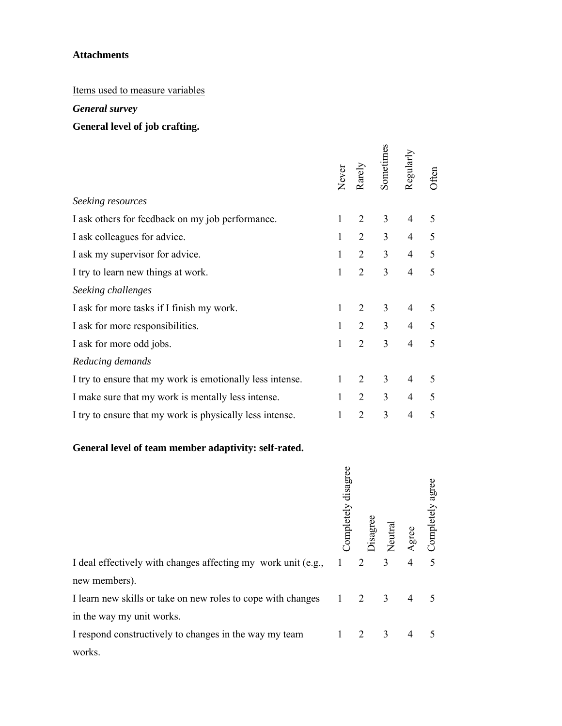## **Attachments**

# Items used to measure variables

# *General survey*

# **General level of job crafting.**

|                                                                 | Never               | Rarely         | Sometimes           | Regularly      | Often            |
|-----------------------------------------------------------------|---------------------|----------------|---------------------|----------------|------------------|
| Seeking resources                                               |                     |                |                     |                |                  |
| I ask others for feedback on my job performance.                | 1                   | $\overline{2}$ | 3                   | 4              | 5                |
| I ask colleagues for advice.                                    | $\mathbf{1}$        | $\overline{2}$ | 3                   | $\overline{4}$ | 5                |
| I ask my supervisor for advice.                                 | 1                   | $\overline{2}$ | 3                   | $\overline{4}$ | 5                |
| I try to learn new things at work.                              | 1                   | $\overline{2}$ | 3                   | $\overline{4}$ | 5                |
| Seeking challenges                                              |                     |                |                     |                |                  |
| I ask for more tasks if I finish my work.                       | 1                   | $\overline{2}$ | 3                   | 4              | 5                |
| I ask for more responsibilities.                                | $\mathbf{1}$        | $\overline{2}$ | 3                   | $\overline{4}$ | 5                |
| I ask for more odd jobs.                                        | 1                   | $\overline{2}$ | 3                   | 4              | 5                |
| Reducing demands                                                |                     |                |                     |                |                  |
| I try to ensure that my work is emotionally less intense.       | 1                   | 2              | 3                   | $\overline{4}$ | 5                |
| I make sure that my work is mentally less intense.              | $\mathbf{1}$        | $\overline{2}$ | 3                   | $\overline{4}$ | 5                |
| I try to ensure that my work is physically less intense.        | 1                   | $\overline{2}$ | 3                   | 4              | 5                |
| General level of team member adaptivity: self-rated.            |                     |                |                     |                |                  |
|                                                                 | Completely disagree |                | Disagree<br>Neutral |                | Completely agree |
| I deal effectively with changes affecting my work unit (e.g., 1 |                     | 2              | 3 <sup>1</sup>      | $\overline{4}$ | 5 <sup>5</sup>   |
| new members).                                                   |                     |                |                     |                |                  |
| I learn new skills or take on new roles to cope with changes 1  |                     | $\overline{2}$ | 3 <sup>7</sup>      | $\overline{4}$ | 5                |
| in the way my unit works.                                       |                     |                |                     |                |                  |
| I respond constructively to changes in the way my team          | 1                   | $\overline{2}$ | 3 <sup>7</sup>      | $\overline{4}$ | 5                |
| works.                                                          |                     |                |                     |                |                  |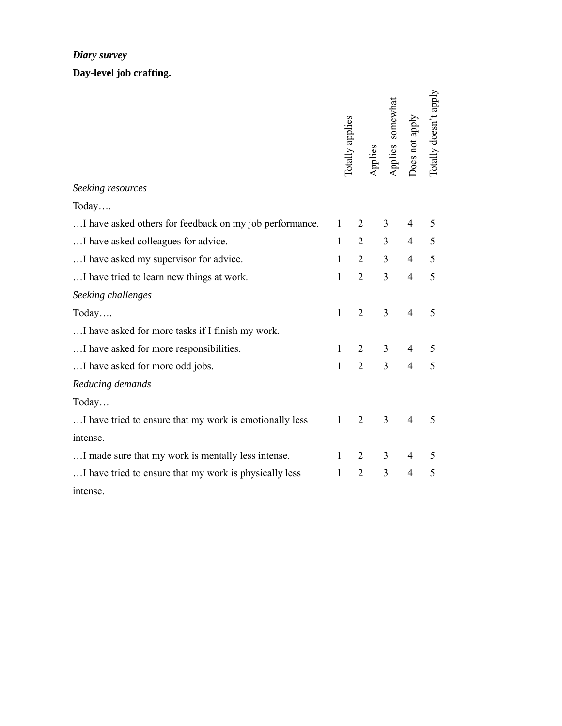## *Diary survey*

**Day-level job crafting.** 

|                                                         | Totally applies |                |                | Applies<br>Applies somewhat<br>Does not apply | Totally doesn't apply |
|---------------------------------------------------------|-----------------|----------------|----------------|-----------------------------------------------|-----------------------|
| Seeking resources                                       |                 |                |                |                                               |                       |
| Today                                                   |                 |                |                |                                               |                       |
| I have asked others for feedback on my job performance. | $\mathbf{1}$    | $\overline{2}$ | 3              | 4                                             | 5                     |
| I have asked colleagues for advice.                     | $\mathbf{1}$    | $\overline{2}$ | $\overline{3}$ | $\overline{4}$                                | 5                     |
| I have asked my supervisor for advice.                  | $\mathbf{1}$    | $\overline{2}$ | 3              | $\overline{4}$                                | 5                     |
| I have tried to learn new things at work.               | $\mathbf{1}$    | $\overline{2}$ | 3              | $\overline{4}$                                | 5                     |
| Seeking challenges                                      |                 |                |                |                                               |                       |
| Today                                                   | $\mathbf{1}$    | $\overline{2}$ | 3              | $\overline{4}$                                | 5                     |
| I have asked for more tasks if I finish my work.        |                 |                |                |                                               |                       |
| I have asked for more responsibilities.                 | $\mathbf{1}$    | $\overline{2}$ | 3              | $\overline{4}$                                | 5                     |
| I have asked for more odd jobs.                         | $\mathbf{1}$    | $\overline{2}$ | $\overline{3}$ | $\overline{4}$                                | 5                     |
| Reducing demands                                        |                 |                |                |                                               |                       |
| Today                                                   |                 |                |                |                                               |                       |
| I have tried to ensure that my work is emotionally less | $\mathbf{1}$    | $\overline{2}$ | 3              | 4                                             | 5                     |
| intense.                                                |                 |                |                |                                               |                       |
| I made sure that my work is mentally less intense.      | $\mathbf{1}$    | $\overline{2}$ | 3              | 4                                             | 5                     |
| I have tried to ensure that my work is physically less  | $\mathbf{1}$    | $\overline{2}$ | 3              | $\overline{4}$                                | 5                     |
| intense.                                                |                 |                |                |                                               |                       |